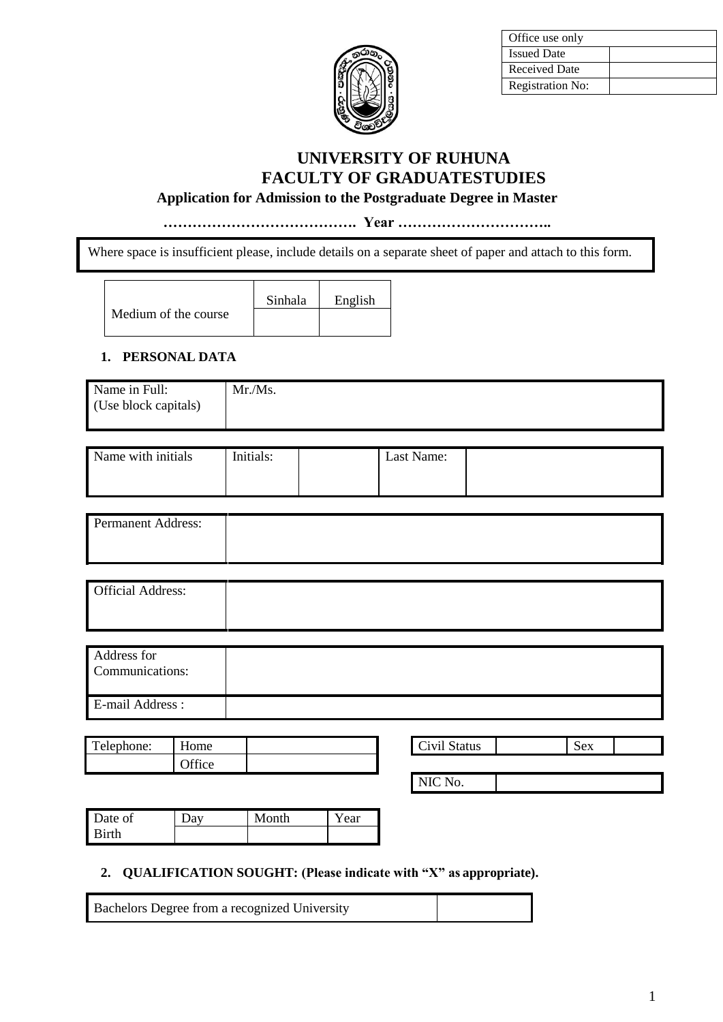

| Office use only      |  |
|----------------------|--|
| <b>Issued Date</b>   |  |
| <b>Received Date</b> |  |
| Registration No:     |  |

# **UNIVERSITY OF RUHUNA FACULTY OF GRADUATESTUDIES**

## **Application for Admission to the Postgraduate Degree in Master**

**…………………………………. Year …………………………..**

Where space is insufficient please, include details on a separate sheet of paper and attach to this form.

Medium of the course

Sinhala English

### **1. PERSONAL DATA**

| Name in Full:        | Mr.Ms. |
|----------------------|--------|
| (Use block capitals) |        |
|                      |        |

| Name with initials | Initials: | Last Name: |  |
|--------------------|-----------|------------|--|
|                    |           |            |  |
|                    |           |            |  |
|                    |           |            |  |
|                    |           |            |  |
|                    |           |            |  |

| <b>Permanent Address:</b> |  |
|---------------------------|--|
|                           |  |

| <b>Official Address:</b> |  |
|--------------------------|--|
|                          |  |

| Address for<br>Communications: |  |
|--------------------------------|--|
| E-mail Address :               |  |

| Telephone: | $ -$<br>Home            |  | Civil Status | $\tilde{\phantom{a}}$<br>Sex |
|------------|-------------------------|--|--------------|------------------------------|
|            | $\sim$ control<br>ttice |  |              |                              |

| <b>ALCOHOL: YES</b><br>$\overline{\phantom{a}}$<br>--<br>ıс |  |  |
|-------------------------------------------------------------|--|--|
|                                                             |  |  |

NIC No.

| Date of | Month | ear |
|---------|-------|-----|
| Rirth   |       |     |

# **2. QUALIFICATION SOUGHT: (Please indicate with "X" as appropriate).**

Bachelors Degree from a recognized University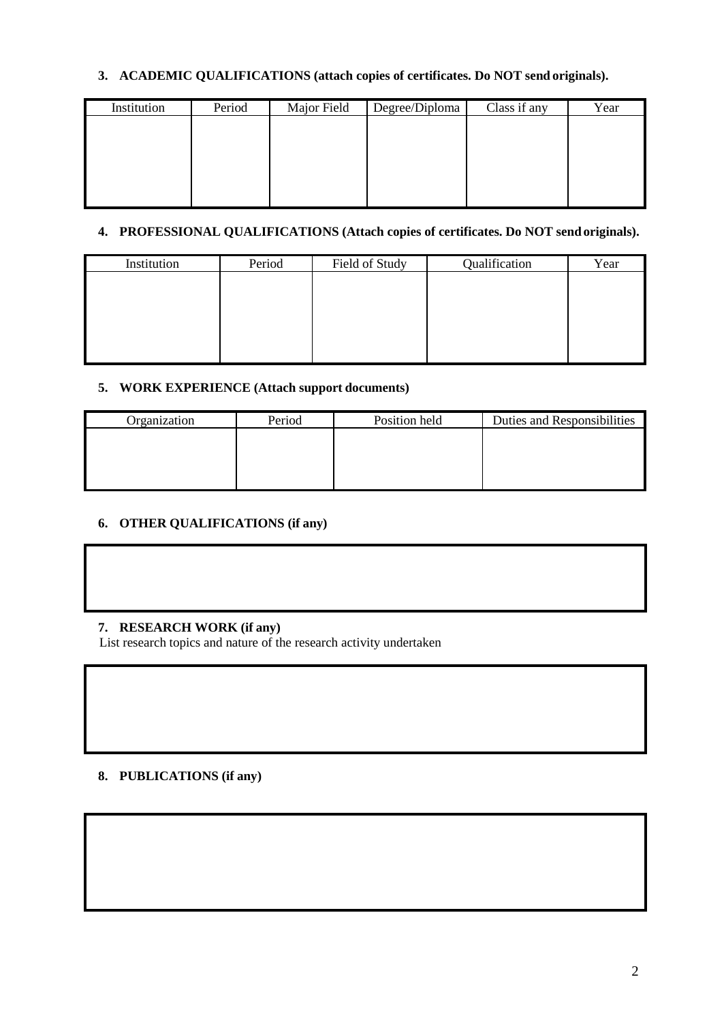# **3. ACADEMIC QUALIFICATIONS (attach copies of certificates. Do NOT send originals).**

| Institution | Period | Major Field | Degree/Diploma | Class if any | Year |
|-------------|--------|-------------|----------------|--------------|------|
|             |        |             |                |              |      |
|             |        |             |                |              |      |
|             |        |             |                |              |      |
|             |        |             |                |              |      |
|             |        |             |                |              |      |

### **4. PROFESSIONAL QUALIFICATIONS (Attach copies of certificates. Do NOT sendoriginals).**

| Period | Field of Study | Qualification | Year |
|--------|----------------|---------------|------|
|        |                |               |      |
|        |                |               |      |
|        |                |               |      |
|        |                |               |      |
|        |                |               |      |
|        |                |               |      |

## **5. WORK EXPERIENCE (Attach support documents)**

| Organization | Period | Position held | Duties and Responsibilities |
|--------------|--------|---------------|-----------------------------|
|              |        |               |                             |
|              |        |               |                             |
|              |        |               |                             |
|              |        |               |                             |

# **6. OTHER QUALIFICATIONS (if any)**

# **7. RESEARCH WORK (if any)**

List research topics and nature of the research activity undertaken

### **8. PUBLICATIONS (if any)**